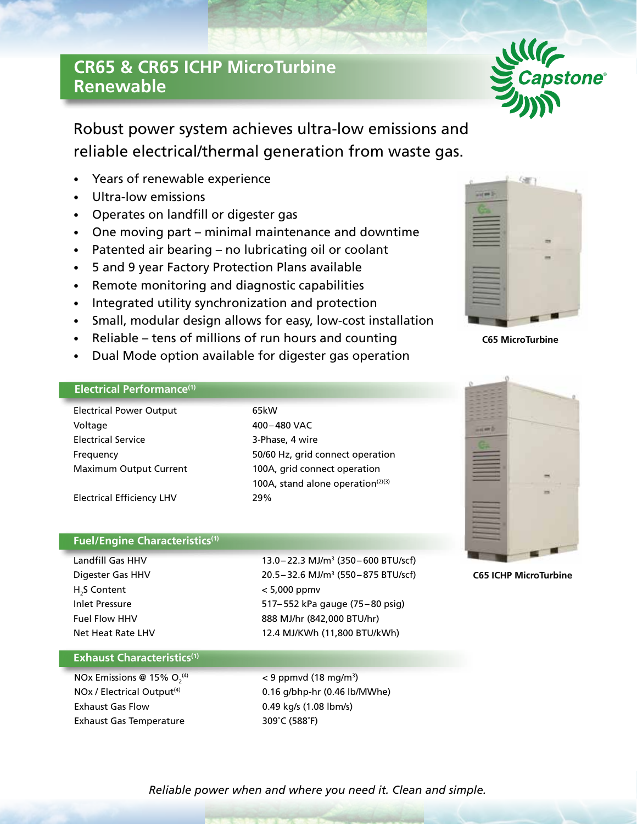# **CR65 & CR65 ICHP MicroTurbine Renewable**

Robust power system achieves ultra-low emissions and reliable electrical/thermal generation from waste gas.

- Years of renewable experience
- Ultra-low emissions
- Operates on landfill or digester gas
- One moving part minimal maintenance and downtime
- Patented air bearing no lubricating oil or coolant
- 5 and 9 year Factory Protection Plans available
- Remote monitoring and diagnostic capabilities
- Integrated utility synchronization and protection
- Small, modular design allows for easy, low-cost installation
- Reliable tens of millions of run hours and counting
- Dual Mode option available for digester gas operation

### **Electrical Performance(1)**

Electrical Power Output 65kW Voltage 400–480 VAC Electrical Service 3-Phase, 4 wire Frequency 50/60 Hz, grid connect operation Maximum Output Current 100A, grid connect operation

Electrical Efficiency LHV 29%

#### **Fuel/Engine Characteristics(1)**

Digester Gas HHV H<sub>2</sub>S Content

Landfill Gas HHV 13.0– 22.3 MJ/m3 (350– 600 BTU/scf) 20.5 - 32.6 MJ/m<sup>3</sup> (550 - 875 BTU/scf)  $< 5,000$  ppmv Inlet Pressure 517– 552 kPa gauge (75– 80 psig) Fuel Flow HHV 888 MJ/hr (842,000 BTU/hr) Net Heat Rate LHV 12.4 MJ/KWh (11,800 BTU/kWh)

100A, stand alone operation $(2)(3)$ 

#### **Exhaust Characteristics(1)**

NOx Emissions @ 15%  $O<sub>2</sub><sup>(4)</sup>$ Exhaust Gas Flow 0.49 kg/s (1.08 lbm/s) Exhaust Gas Temperature 309°C (588°F)

 $^{(4)}$   $<$  9 ppmvd (18 mg/m<sup>3</sup>) NOx / Electrical Output<sup>(4)</sup> 0.16 g/bhp-hr (0.46 lb/MWhe)

## *Reliable power when and where you need it. Clean and simple.*



**C65 ICHP MicroTurbine**



œ